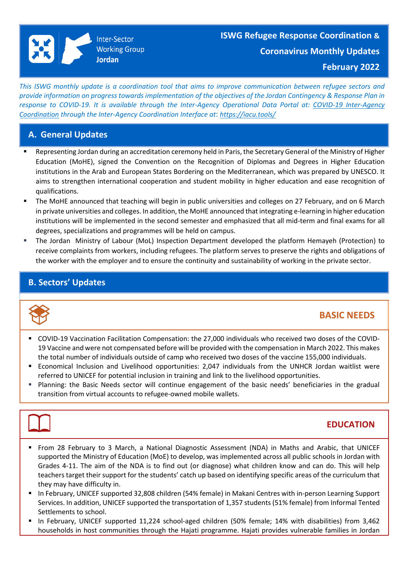This ISWG monthly update is a coordination tool that aims to improve communication between refugee sectors and provide information on progress towards implementation of the objectives of the Jordan Contingency & Response Plan in *response to COVID-19. It is available through the Inter-Agency Operational Data Portal at: COVID-19 [Inter-Agency](COVID-19%20Inter-Agency%20Coordination%20through%20the%20Inter-Agency%20Coordination%20Interface%20at:%20https:/iacu.tools/) Coordination through the Inter-Agency Coordination Interface at*: *[https://iacu.tools/](COVID-19%20Inter-Agency%20Coordination%20through%20the%20Inter-Agency%20Coordination%20Interface%20at:%20https:/iacu.tools/)*

## **A. General Updates**

- Representing Jordan during an accreditation ceremony held in Paris, the Secretary General of the Ministry of Higher Education (MoHE), signed the Convention on the Recognition of Diplomas and Degrees in Higher Education institutions in the Arab and European States Bordering on the Mediterranean, which was prepared by UNESCO. It aims to strengthen international cooperation and student mobility in higher education and ease recognition of qualifications.
- The MoHE announced that teaching will begin in public universities and colleges on 27 February, and on 6 March in private universities and colleges. In addition, the MoHE announced that integrating e-learning in higher education institutions will be implemented in the second semester and emphasized that all mid-term and final exams for all degrees, specializations and programmes will be held on campus.
- The Jordan Ministry of Labour (MoL) Inspection Department developed the platform [Hemayeh](https://eur02.safelinks.protection.outlook.com/?url=https%3A%2F%2Fhemayeh.jo%2F&data=04%7C01%7Cguseva%40unhcr.org%7C6a6cae3e051e425eb1c908da04e1c9fe%7Ce5c37981666441348a0c6543d2af80be%7C0%7C0%7C637827665328010525%7CUnknown%7CTWFpbGZsb3d8eyJWIjoiMC4wLjAwMDAiLCJQIjoiV2luMzIiLCJBTiI6Ik1haWwiLCJXVCI6Mn0%3D%7C3000&sdata=T9O44AoOQ9ncv3zKXErb8d%2B6XtDG%2Fxiw2szfm8j8Z9c%3D&reserved=0) (Protection) to receive complaints from workers, including refugees. The platform serves to preserve the rights and obligations of the worker with the employer and to ensure the continuity and sustainability of working in the private sector.

## **B. Sectors' Updates**



# **BASIC NEEDS**

- COVID-19 Vaccination Facilitation Compensation: the 27,000 individuals who received two doses of the COVID-19 Vaccine and were not compensated before will be provided with the compensation in March 2022. This makes the total number of individuals outside of camp who received two doses of the vaccine 155,000 individuals.
- Economical Inclusion and Livelihood opportunities: 2,047 individuals from the UNHCR Jordan waitlist were referred to UNICEF for potential inclusion in training and link to the livelihood opportunities.
- **•** Planning: the Basic Needs sector will continue engagement of the basic needs' beneficiaries in the gradual transition from virtual accounts to refugee-owned mobile wallets.



## **EDUCATION**

- From 28 February to 3 March, a National Diagnostic Assessment (NDA) in Maths and Arabic, that UNICEF supported the Ministry of Education (MoE) to develop, was implemented across all public schools in Jordan with Grades 4-11. The aim of the NDA is to find out (or diagnose) what children know and can do. This will help teachers target their support for the students' catch up based on identifying specific areas of the curriculum that they may have difficulty in.
- In February, UNICEF supported 32,808 children (54% female) in Makani Centres with in-person Learning Support Services. In addition, UNICEF supported the transportation of 1,357 students (51% female) from Informal Tented Settlements to school.
- In February, UNICEF supported 11,224 school-aged children (50% female; 14% with disabilities) from 3,462 households in host communities through the Hajati programme. Hajati provides vulnerable families in Jordan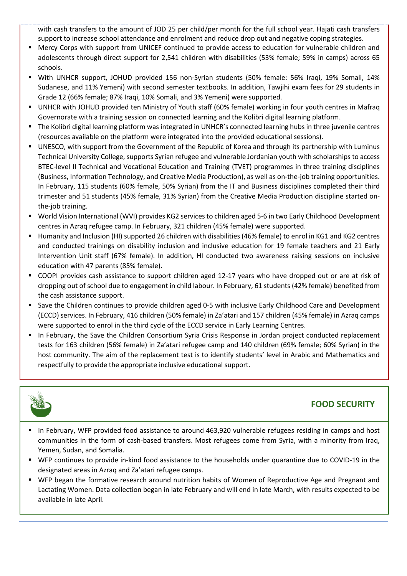with cash transfers to the amount of JOD 25 per child/per month for the full school year. Hajati cash transfers support to increase school attendance and enrolment and reduce drop out and negative coping strategies.

- Mercy Corps with support from UNICEF continued to provide access to education for vulnerable children and adolescents through direct support for 2,541 children with disabilities (53% female; 59% in camps) across 65 schools.
- With UNHCR support, JOHUD provided 156 non-Syrian students (50% female: 56% Iraqi, 19% Somali, 14% Sudanese, and 11% Yemeni) with second semester textbooks. In addition, Tawjihi exam fees for 29 students in Grade 12 (66% female; 87% Iraqi, 10% Somali, and 3% Yemeni) were supported.
- UNHCR with JOHUD provided ten Ministry of Youth staff (60% female) working in four youth centres in Mafraq Governorate with a training session on connected learning and the Kolibri digital learning platform.
- The Kolibri digital learning platform was integrated in UNHCR's connected learning hubs in three juvenile centres (resources available on the platform were integrated into the provided educational sessions).
- UNESCO, with support from the Government of the Republic of Korea and through its partnership with Luminus Technical University College, supports Syrian refugee and vulnerable Jordanian youth with scholarships to access BTEC-level II Technical and Vocational Education and Training (TVET) programmes in three training disciplines (Business, Information Technology, and Creative Media Production), as well as on-the-job training opportunities. In February, 115 students (60% female, 50% Syrian) from the IT and Business disciplines completed their third trimester and 51 students (45% female, 31% Syrian) from the Creative Media Production discipline started onthe-job training.
- World Vision International (WVI) provides KG2 services to children aged 5-6 in two Early Childhood Development centres in Azraq refugee camp. In February, 321 children (45% female) were supported.
- Humanity and Inclusion (HI) supported 26 children with disabilities(46% female) to enrol in KG1 and KG2 centres and conducted trainings on disability inclusion and inclusive education for 19 female teachers and 21 Early Intervention Unit staff (67% female). In addition, HI conducted two awareness raising sessions on inclusive education with 47 parents (85% female).
- COOPI provides cash assistance to support children aged 12-17 years who have dropped out or are at risk of dropping out of school due to engagement in child labour. In February, 61 students (42% female) benefited from the cash assistance support.
- Save the Children continues to provide children aged 0-5 with inclusive Early Childhood Care and Development (ECCD) services. In February, 416 children (50% female) in Za'atari and 157 children (45% female) in Azraq camps were supported to enrol in the third cycle of the ECCD service in Early Learning Centres.
- In February, the Save the Children Consortium Syria Crisis Response in Jordan project conducted replacement tests for 163 children (56% female) in Za'atari refugee camp and 140 children (69% female; 60% Syrian) in the host community. The aim of the replacement test is to identify students' level in Arabic and Mathematics and respectfully to provide the appropriate inclusive educational support.



# **FOOD SECURITY**

- In February, WFP provided food assistance to around 463,920 vulnerable refugees residing in camps and host communities in the form of cash-based transfers. Most refugees come from Syria, with a minority from Iraq, Yemen, Sudan, and Somalia.
- WFP continues to provide in-kind food assistance to the households under quarantine due to COVID-19 in the designated areas in Azraq and Za'atari refugee camps.
- WFP began the formative research around nutrition habits of Women of Reproductive Age and Pregnant and Lactating Women. Data collection began in late February and will end in late March, with results expected to be available in late April.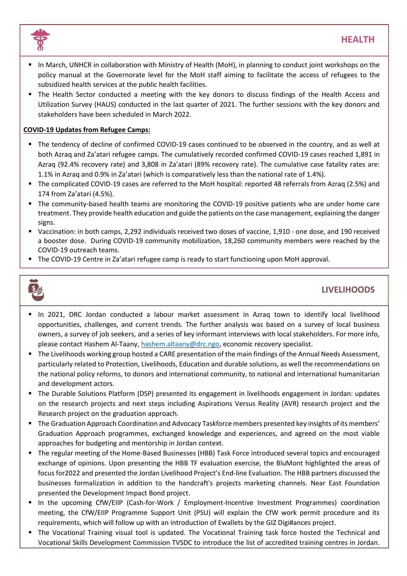



- In March, UNHCR in collaboration with Ministry of Health (MoH), in planning to conduct joint workshops on the policy manual at the Governorate level for the MoH staff aiming to facilitate the access of refugees to the subsidized health services at the public health facilities.
- The Health Sector conducted a meeting with the key donors to discuss findings of the Health Access and Utilization Survey (HAUS) conducted in the last quarter of 2021. The further sessions with the key donors and stakeholders have been scheduled in March 2022.

### **COVID-19 Updates from Refugee Camps:**

- The tendency of decline of confirmed COVID-19 cases continued to be observed in the country, and as well at both Azraq and Za'atari refugee camps. The cumulatively recorded confirmed COVID-19 cases reached 1,891 in Azraq (92.4% recovery rate) and 3,808 in Za'atari (89% recovery rate). The cumulative case fatality rates are: 1.1% in Azraq and 0.9% in Za'atari (which is comparatively less than the national rate of 1.4%).
- The complicated COVID-19 cases are referred to the MoH hospital: reported 48 referrals from Azraq (2.5%) and 174 from Za'atari (4.5%).
- The community-based health teams are monitoring the COVID-19 positive patients who are under home care treatment. They provide health education and guide the patients on the case management, explaining the danger signs.
- Vaccination: in both camps, 2,292 individuals received two doses of vaccine, 1,910 one dose, and 190 received a booster dose. During COVID-19 community mobilization, 18,260 community members were reached by the COVID-19 outreach teams.
- The COVID-19 Centre in Za'atari refugee camp is ready to start functioning upon MoH approval.



# **LIVELIHOODS**

- In 2021, DRC Jordan conducted a labour market assessment in Azraq town to identify local livelihood opportunities, challenges, and current trends. The further analysis was based on a survey of local business owners, a survey of job seekers, and a series of key informant interviews with local stakeholders. For more info, please contact Hashem Al-Taany, [hashem.altaany@drc.ngo,](mailto:hashem.altaany@drc.ngo) economic recovery specialist.
- The Livelihoods working group hosted a CARE presentation of the main findings of the Annual Needs Assessment, particularly related to Protection, Livelihoods, Education and durable solutions, as well the recommendations on the national policy reforms, to donors and international community, to national and international humanitarian and development actors.
- The Durable Solutions Platform (DSP) presented its engagement in livelihoods engagement in Jordan: updates on the research projects and next steps including Aspirations Versus Reality (AVR) research project and the Research project on the graduation approach.
- The Graduation Approach Coordination and Advocacy Taskforce members presented key insights of its members' Graduation Approach programmes, exchanged knowledge and experiences, and agreed on the most viable approaches for budgeting and mentorship in Jordan context.
- The regular meeting of the Home-Based Businesses (HBB) Task Force introduced several topics and encouraged exchange of opinions. Upon presenting the HBB TF evaluation exercise, the BluMont highlighted the areas of focus for2022 and presented the Jordan Livelihood Project's End-line Evaluation. The HBB partners discussed the businesses formalization in addition to the handcraft's projects marketing channels. Near East Foundation presented the Development Impact Bond project.
- In the upcoming CfW/EIIP (Cash-for-Work / Employment-Incentive Investment Programmes) coordination meeting, the CfW/EIIP Programme Support Unit (PSU) will explain the CfW work permit procedure and its requirements, which will follow up with an introduction of Ewallets by the GIZ Digi#ances project.
- The [Vocational](https://eur02.safelinks.protection.outlook.com/?url=https%3A%2F%2Fapp.powerbi.com%2Flinks%2FtclLaerDhv%3Fctid%3De5c37981-6664-4134-8a0c-6543d2af80be%26pbi_source%3DlinkShare&data=04%7C01%7Cguseva%40unhcr.org%7C6a6cae3e051e425eb1c908da04e1c9fe%7Ce5c37981666441348a0c6543d2af80be%7C0%7C0%7C637827665328010525%7CUnknown%7CTWFpbGZsb3d8eyJWIjoiMC4wLjAwMDAiLCJQIjoiV2luMzIiLCJBTiI6Ik1haWwiLCJXVCI6Mn0%3D%7C3000&sdata=i5yNhs%2B2Uv9HTkaannvagf7KrPXqriCdmtvFBfFiXxw%3D&reserved=0) Training visual tool is updated. The Vocational Training task force hosted the Technical and Vocational Skills Development Commission TVSDC to introduce the list of accredited training centres in Jordan.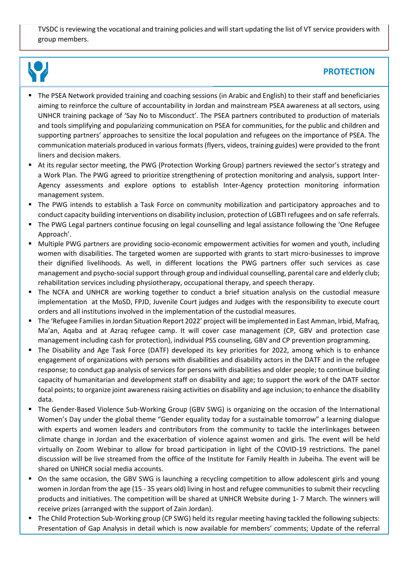TVSDC is reviewing the vocational and training policies and will start updating the list of VT service providers with group members.



## **PROTECTION**

- The PSEA Network provided training and coaching sessions (in Arabic and English) to their staff and beneficiaries aiming to reinforce the culture of accountability in Jordan and mainstream PSEA awareness at all sectors, using UNHCR training package of 'Say No to Misconduct'. The PSEA partners contributed to production of materials and tools simplifying and popularizing communication on PSEA for communities, for the public and children and supporting partners' approaches to sensitize the local population and refugees on the importance of PSEA. The communication materials produced in various formats(flyers, videos, training guides) were provided to the front liners and decision makers.
- At its regular sector meeting, the PWG (Protection Working Group) partners reviewed the sector's strategy and a Work Plan. The PWG agreed to prioritize strengthening of protection monitoring and analysis, support Inter-Agency assessments and explore options to establish Inter-Agency protection monitoring information management system.
- The PWG intends to establish a Task Force on community mobilization and participatory approaches and to conduct capacity building interventions on disability inclusion, protection of LGBTI refugees and on safe referrals.
- The PWG Legal partners continue focusing on legal counselling and legal assistance following the 'One Refugee Approach'.
- Multiple PWG partners are providing socio-economic empowerment activities for women and youth, including women with disabilities. The targeted women are supported with grants to start micro-businesses to improve their dignified livelihoods. As well, in different locations the PWG partners offer such services as case management and psycho-social support through group and individual counselling, parental care and elderly club; rehabilitation services including physiotherapy, occupational therapy, and speech therapy.
- The NCFA and UNHCR are working together to conduct a brief situation analysis on the custodial measure implementation at the MoSD, FPJD, Juvenile Court judges and Judges with the responsibility to execute court orders and all institutions involved in the implementation of the custodial measures.
- The 'Refugee Familiesin Jordan Situation Report 2022' project will be implemented in East Amman, Irbid, Mafraq, Ma'an, Aqaba and at Azraq refugee camp. It will cover case management (CP, GBV and protection case management including cash for protection), individual PSS counseling, GBV and CP prevention programming.
- The Disability and Age Task Force (DATF) developed its key priorities for 2022, among which is to enhance engagement of organizations with persons with disabilities and disability actors in the DATF and in the refugee response; to conduct gap analysis of services for persons with disabilities and older people; to continue building capacity of humanitarian and development staff on disability and age; to support the work of the DATF sector focal points; to organize joint awareness raising activities on disability and age inclusion; to enhance the disability data.
- The Gender-Based Violence Sub-Working Group (GBV SWG) is organizing on the occasion of the International Women's Day under the global theme "Gender equality today for a sustainable tomorrow" a learning dialogue with experts and women leaders and contributors from the community to tackle the interlinkages between climate change in Jordan and the exacerbation of violence against women and girls. The event will be held virtually on Zoom Webinar to allow for broad participation in light of the COVID-19 restrictions. The panel discussion will be live streamed from the office of the Institute for Family Health in Jubeiha. The event will be shared on UNHCR social media accounts.
- On the same occasion, the GBV SWG is launching a recycling competition to allow adolescent girls and young women in Jordan from the age (15 - 35 years old) living in host and refugee communities to submit their recycling products and initiatives. The competition will be shared at UNHCR Website during 1- 7 March. The winners will receive prizes (arranged with the support of Zain Jordan).
- The Child Protection Sub-Working group (CP SWG) held its regular meeting having tackled the following subjects: Presentation of Gap Analysis in detail which is now available for members' comments; Update of the referral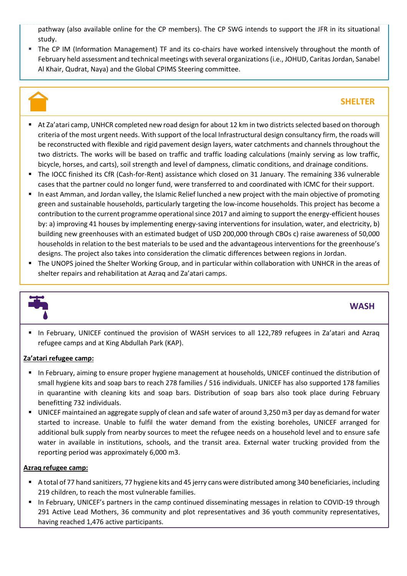pathway (also available online for the CP members). The CP SWG intends to support the JFR in its situational study.

■ The CP IM (Information Management) TF and its co-chairs have worked intensively throughout the month of February held assessment and technical meetings with several organizations (i.e., JOHUD, Caritas Jordan, Sanabel Al Khair, Qudrat, Naya) and the Global CPIMS Steering committee.

# **SHELTER**

- At Za'atari camp, UNHCR completed new road design for about 12 km in two districts selected based on thorough criteria of the most urgent needs. With support of the local Infrastructural design consultancy firm, the roads will be reconstructed with flexible and rigid pavement design layers, water catchments and channels throughout the two districts. The works will be based on traffic and traffic loading calculations (mainly serving as low traffic, bicycle, horses, and carts), soil strength and level of dampness, climatic conditions, and drainage conditions.
- The IOCC finished its CfR (Cash-for-Rent) assistance which closed on 31 January. The remaining 336 vulnerable cases that the partner could no longer fund, were transferred to and coordinated with ICMC for their support.
- In east Amman, and Jordan valley, the Islamic Relief lunched a new project with the main objective of promoting green and sustainable households, particularly targeting the low-income households. This project has become a contribution to the current programme operational since 2017 and aiming to support the energy-efficient houses by: a) improving 41 houses by implementing energy-saving interventions for insulation, water, and electricity, b) building new greenhouses with an estimated budget of USD 200,000 through CBOs c) raise awareness of 50,000 households in relation to the best materials to be used and the advantageous interventions for the greenhouse's designs. The project also takes into consideration the climatic differences between regions in Jordan.
- The UNOPS joined the Shelter Working Group, and in particular within collaboration with UNHCR in the areas of shelter repairs and rehabilitation at Azraq and Za'atari camps.



### **WASH**

▪ In February, UNICEF continued the provision of WASH services to all 122,789 refugees in Za'atari and Azraq refugee camps and at King Abdullah Park (KAP).

### **Za'atari refugee camp:**

- In February, aiming to ensure proper hygiene management at households, UNICEF continued the distribution of small hygiene kits and soap bars to reach 278 families / 516 individuals. UNICEF has also supported 178 families in quarantine with cleaning kits and soap bars. Distribution of soap bars also took place during February benefitting 732 individuals.
- UNICEF maintained an aggregate supply of clean and safe water of around 3,250 m3 per day as demand for water started to increase. Unable to fulfil the water demand from the existing boreholes, UNICEF arranged for additional bulk supply from nearby sources to meet the refugee needs on a household level and to ensure safe water in available in institutions, schools, and the transit area. External water trucking provided from the reporting period was approximately 6,000 m3.

### **Azraq refugee camp:**

- A total of 77 hand sanitizers, 77 hygiene kits and 45 jerry cans were distributed among 340 beneficiaries, including 219 children, to reach the most vulnerable families.
- In February, UNICEF's partners in the camp continued disseminating messages in relation to COVID-19 through 291 Active Lead Mothers, 36 community and plot representatives and 36 youth community representatives, having reached 1,476 active participants.